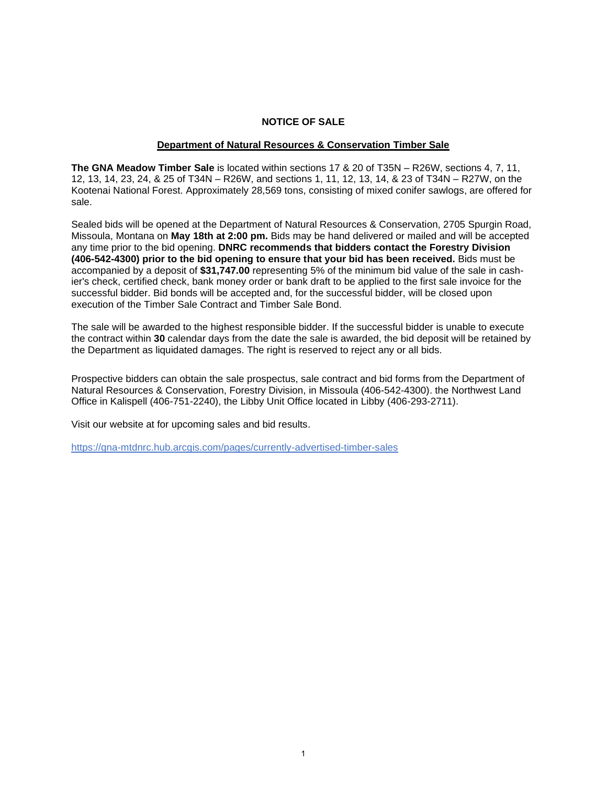#### **NOTICE OF SALE**

#### **Department of Natural Resources & Conservation Timber Sale**

**The GNA Meadow Timber Sale** is located within sections 17 & 20 of T35N – R26W, sections 4, 7, 11, 12, 13, 14, 23, 24, & 25 of T34N – R26W, and sections 1, 11, 12, 13, 14, & 23 of T34N – R27W, on the Kootenai National Forest. Approximately 28,569 tons, consisting of mixed conifer sawlogs, are offered for sale.

Sealed bids will be opened at the Department of Natural Resources & Conservation, 2705 Spurgin Road, Missoula, Montana on **May 18th at 2:00 pm.** Bids may be hand delivered or mailed and will be accepted any time prior to the bid opening. **DNRC recommends that bidders contact the Forestry Division (406-542-4300) prior to the bid opening to ensure that your bid has been received.** Bids must be accompanied by a deposit of **\$31,747.00** representing 5% of the minimum bid value of the sale in cashier's check, certified check, bank money order or bank draft to be applied to the first sale invoice for the successful bidder. Bid bonds will be accepted and, for the successful bidder, will be closed upon execution of the Timber Sale Contract and Timber Sale Bond.

The sale will be awarded to the highest responsible bidder. If the successful bidder is unable to execute the contract within **30** calendar days from the date the sale is awarded, the bid deposit will be retained by the Department as liquidated damages. The right is reserved to reject any or all bids.

Prospective bidders can obtain the sale prospectus, sale contract and bid forms from the Department of Natural Resources & Conservation, Forestry Division, in Missoula (406-542-4300). the Northwest Land Office in Kalispell (406-751-2240), the Libby Unit Office located in Libby (406-293-2711).

Visit our website at for upcoming sales and bid results.

https://gna-mtdnrc.hub.arcgis.com/pages/currently-advertised-timber-sales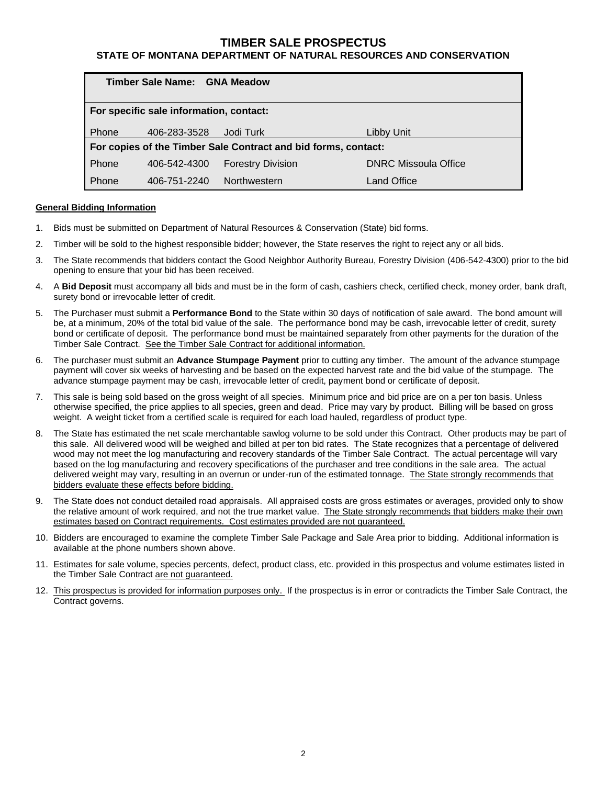### **TIMBER SALE PROSPECTUS**

### **STATE OF MONTANA DEPARTMENT OF NATURAL RESOURCES AND CONSERVATION**

| Timber Sale Name: GNA Meadow            |                                                                |                          |                             |  |  |  |  |  |  |  |
|-----------------------------------------|----------------------------------------------------------------|--------------------------|-----------------------------|--|--|--|--|--|--|--|
| For specific sale information, contact: |                                                                |                          |                             |  |  |  |  |  |  |  |
| <b>Phone</b>                            | 406-283-3528                                                   | Jodi Turk                | Libby Unit                  |  |  |  |  |  |  |  |
|                                         | For copies of the Timber Sale Contract and bid forms, contact: |                          |                             |  |  |  |  |  |  |  |
| Phone                                   | 406-542-4300                                                   | <b>Forestry Division</b> | <b>DNRC Missoula Office</b> |  |  |  |  |  |  |  |
| Phone                                   | 406-751-2240                                                   | Northwestern             | Land Office                 |  |  |  |  |  |  |  |

#### **General Bidding Information**

- 1. Bids must be submitted on Department of Natural Resources & Conservation (State) bid forms.
- 2. Timber will be sold to the highest responsible bidder; however, the State reserves the right to reject any or all bids.
- 3. The State recommends that bidders contact the Good Neighbor Authority Bureau, Forestry Division (406-542-4300) prior to the bid opening to ensure that your bid has been received.
- 4. A **Bid Deposit** must accompany all bids and must be in the form of cash, cashiers check, certified check, money order, bank draft, surety bond or irrevocable letter of credit.
- 5. The Purchaser must submit a **Performance Bond** to the State within 30 days of notification of sale award. The bond amount will be, at a minimum, 20% of the total bid value of the sale. The performance bond may be cash, irrevocable letter of credit, surety bond or certificate of deposit. The performance bond must be maintained separately from other payments for the duration of the Timber Sale Contract. See the Timber Sale Contract for additional information.
- 6. The purchaser must submit an **Advance Stumpage Payment** prior to cutting any timber. The amount of the advance stumpage payment will cover six weeks of harvesting and be based on the expected harvest rate and the bid value of the stumpage. The advance stumpage payment may be cash, irrevocable letter of credit, payment bond or certificate of deposit.
- 7. This sale is being sold based on the gross weight of all species. Minimum price and bid price are on a per ton basis. Unless otherwise specified, the price applies to all species, green and dead. Price may vary by product. Billing will be based on gross weight. A weight ticket from a certified scale is required for each load hauled, regardless of product type.
- 8. The State has estimated the net scale merchantable sawlog volume to be sold under this Contract. Other products may be part of this sale. All delivered wood will be weighed and billed at per ton bid rates. The State recognizes that a percentage of delivered wood may not meet the log manufacturing and recovery standards of the Timber Sale Contract. The actual percentage will vary based on the log manufacturing and recovery specifications of the purchaser and tree conditions in the sale area. The actual delivered weight may vary, resulting in an overrun or under-run of the estimated tonnage. The State strongly recommends that bidders evaluate these effects before bidding.
- 9. The State does not conduct detailed road appraisals. All appraised costs are gross estimates or averages, provided only to show the relative amount of work required, and not the true market value. The State strongly recommends that bidders make their own estimates based on Contract requirements. Cost estimates provided are not guaranteed.
- 10. Bidders are encouraged to examine the complete Timber Sale Package and Sale Area prior to bidding. Additional information is available at the phone numbers shown above.
- 11. Estimates for sale volume, species percents, defect, product class, etc. provided in this prospectus and volume estimates listed in the Timber Sale Contract are not guaranteed.
- 12. This prospectus is provided for information purposes only. If the prospectus is in error or contradicts the Timber Sale Contract, the Contract governs.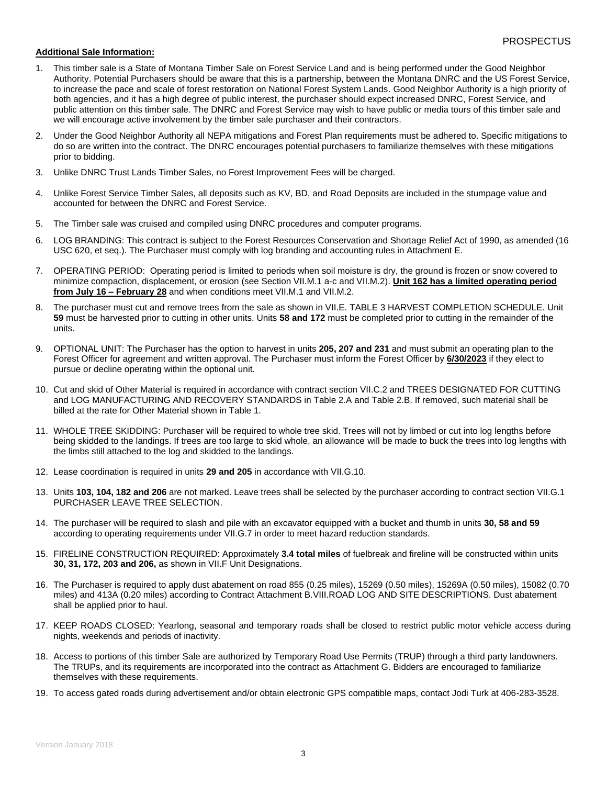#### **Additional Sale Information:**

- 1. This timber sale is a State of Montana Timber Sale on Forest Service Land and is being performed under the Good Neighbor Authority. Potential Purchasers should be aware that this is a partnership, between the Montana DNRC and the US Forest Service, to increase the pace and scale of forest restoration on National Forest System Lands. Good Neighbor Authority is a high priority of both agencies, and it has a high degree of public interest, the purchaser should expect increased DNRC, Forest Service, and public attention on this timber sale. The DNRC and Forest Service may wish to have public or media tours of this timber sale and we will encourage active involvement by the timber sale purchaser and their contractors.
- 2. Under the Good Neighbor Authority all NEPA mitigations and Forest Plan requirements must be adhered to. Specific mitigations to do so are written into the contract. The DNRC encourages potential purchasers to familiarize themselves with these mitigations prior to bidding.
- 3. Unlike DNRC Trust Lands Timber Sales, no Forest Improvement Fees will be charged.
- 4. Unlike Forest Service Timber Sales, all deposits such as KV, BD, and Road Deposits are included in the stumpage value and accounted for between the DNRC and Forest Service.
- 5. The Timber sale was cruised and compiled using DNRC procedures and computer programs.
- 6. LOG BRANDING: This contract is subject to the Forest Resources Conservation and Shortage Relief Act of 1990, as amended (16 USC 620, et seq.). The Purchaser must comply with log branding and accounting rules in Attachment E.
- 7. OPERATING PERIOD: Operating period is limited to periods when soil moisture is dry, the ground is frozen or snow covered to minimize compaction, displacement, or erosion (see Section VII.M.1 a-c and VII.M.2). **Unit 162 has a limited operating period from July 16 – February 28** and when conditions meet VII.M.1 and VII.M.2.
- 8. The purchaser must cut and remove trees from the sale as shown in VII.E. TABLE 3 HARVEST COMPLETION SCHEDULE. Unit **59** must be harvested prior to cutting in other units. Units **58 and 172** must be completed prior to cutting in the remainder of the units.
- 9. OPTIONAL UNIT: The Purchaser has the option to harvest in units **205, 207 and 231** and must submit an operating plan to the Forest Officer for agreement and written approval. The Purchaser must inform the Forest Officer by **6/30/2023** if they elect to pursue or decline operating within the optional unit.
- 10. Cut and skid of Other Material is required in accordance with contract section VII.C.2 and TREES DESIGNATED FOR CUTTING and LOG MANUFACTURING AND RECOVERY STANDARDS in Table 2.A and Table 2.B. If removed, such material shall be billed at the rate for Other Material shown in Table 1.
- 11. WHOLE TREE SKIDDING: Purchaser will be required to whole tree skid. Trees will not by limbed or cut into log lengths before being skidded to the landings. If trees are too large to skid whole, an allowance will be made to buck the trees into log lengths with the limbs still attached to the log and skidded to the landings.
- 12. Lease coordination is required in units **29 and 205** in accordance with VII.G.10.
- 13. Units **103, 104, 182 and 206** are not marked. Leave trees shall be selected by the purchaser according to contract section VII.G.1 PURCHASER LEAVE TREE SELECTION.
- 14. The purchaser will be required to slash and pile with an excavator equipped with a bucket and thumb in units **30, 58 and 59** according to operating requirements under VII.G.7 in order to meet hazard reduction standards.
- 15. FIRELINE CONSTRUCTION REQUIRED: Approximately **3.4 total miles** of fuelbreak and fireline will be constructed within units **30, 31, 172, 203 and 206,** as shown in VII.F Unit Designations.
- 16. The Purchaser is required to apply dust abatement on road 855 (0.25 miles), 15269 (0.50 miles), 15269A (0.50 miles), 15082 (0.70 miles) and 413A (0.20 miles) according to Contract Attachment B.VIII.ROAD LOG AND SITE DESCRIPTIONS. Dust abatement shall be applied prior to haul.
- 17. KEEP ROADS CLOSED: Yearlong, seasonal and temporary roads shall be closed to restrict public motor vehicle access during nights, weekends and periods of inactivity.
- 18. Access to portions of this timber Sale are authorized by Temporary Road Use Permits (TRUP) through a third party landowners. The TRUPs, and its requirements are incorporated into the contract as Attachment G. Bidders are encouraged to familiarize themselves with these requirements.
- 19. To access gated roads during advertisement and/or obtain electronic GPS compatible maps, contact Jodi Turk at 406-283-3528.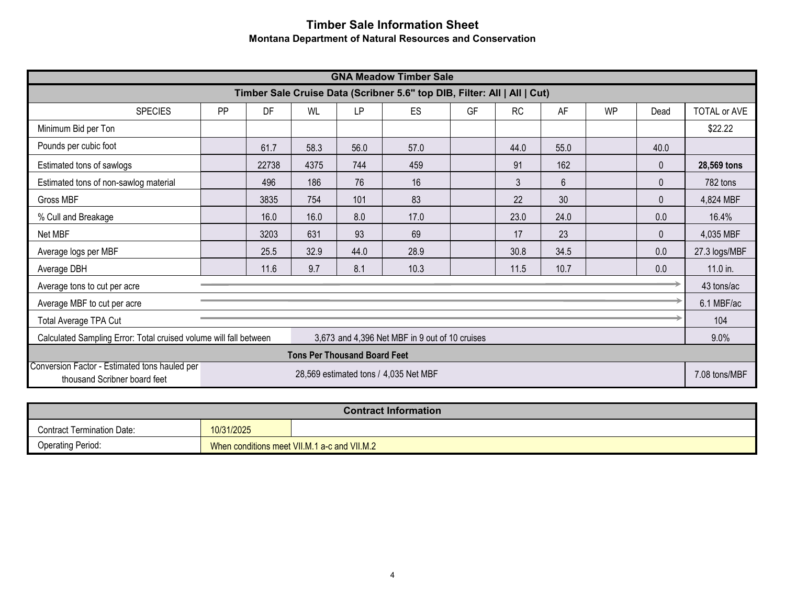# **Timber Sale Information Sheet Montana Department of Natural Resources and Conservation**

| <b>GNA Meadow Timber Sale</b>                                                                                       |                                                                                               |       |      |      |                                       |  |      |      |                     |              |               |
|---------------------------------------------------------------------------------------------------------------------|-----------------------------------------------------------------------------------------------|-------|------|------|---------------------------------------|--|------|------|---------------------|--------------|---------------|
| Timber Sale Cruise Data (Scribner 5.6" top DIB, Filter: All   All   Cut)                                            |                                                                                               |       |      |      |                                       |  |      |      |                     |              |               |
| <b>SPECIES</b>                                                                                                      | DF<br>GF<br><b>RC</b><br>PP<br><b>WL</b><br><b>LP</b><br><b>ES</b><br>AF<br><b>WP</b><br>Dead |       |      |      |                                       |  |      |      | <b>TOTAL or AVE</b> |              |               |
| Minimum Bid per Ton                                                                                                 |                                                                                               |       |      |      |                                       |  |      |      |                     |              | \$22.22       |
| Pounds per cubic foot                                                                                               |                                                                                               | 61.7  | 58.3 | 56.0 | 57.0                                  |  | 44.0 | 55.0 |                     | 40.0         |               |
| Estimated tons of sawlogs                                                                                           |                                                                                               | 22738 | 4375 | 744  | 459                                   |  | 91   | 162  |                     | $\mathbf{0}$ | 28,569 tons   |
| Estimated tons of non-sawlog material                                                                               |                                                                                               | 496   | 186  | 76   | 16                                    |  | 3    | 6    |                     | 0            | 782 tons      |
| Gross MBF                                                                                                           |                                                                                               | 3835  | 754  | 101  | 83                                    |  | 22   | 30   |                     | $\mathbf 0$  | 4,824 MBF     |
| % Cull and Breakage                                                                                                 |                                                                                               | 16.0  | 16.0 | 8.0  | 17.0                                  |  | 23.0 | 24.0 |                     | 0.0          | 16.4%         |
| Net MBF                                                                                                             |                                                                                               | 3203  | 631  | 93   | 69                                    |  | 17   | 23   |                     | $\mathbf{0}$ | 4,035 MBF     |
| Average logs per MBF                                                                                                |                                                                                               | 25.5  | 32.9 | 44.0 | 28.9                                  |  | 30.8 | 34.5 |                     | 0.0          | 27.3 logs/MBF |
| Average DBH                                                                                                         |                                                                                               | 11.6  | 9.7  | 8.1  | 10.3                                  |  | 11.5 | 10.7 |                     | 0.0          | 11.0 in.      |
| Average tons to cut per acre                                                                                        |                                                                                               |       |      |      |                                       |  |      |      |                     |              | 43 tons/ac    |
| Average MBF to cut per acre                                                                                         |                                                                                               |       |      |      |                                       |  |      |      |                     |              | 6.1 MBF/ac    |
| Total Average TPA Cut                                                                                               |                                                                                               |       |      |      |                                       |  |      |      | 104                 |              |               |
| Calculated Sampling Error: Total cruised volume will fall between<br>3,673 and 4,396 Net MBF in 9 out of 10 cruises |                                                                                               |       |      |      |                                       |  |      |      | 9.0%                |              |               |
| <b>Tons Per Thousand Board Feet</b>                                                                                 |                                                                                               |       |      |      |                                       |  |      |      |                     |              |               |
| Conversion Factor - Estimated tons hauled per<br>thousand Scribner board feet                                       |                                                                                               |       |      |      | 28,569 estimated tons / 4,035 Net MBF |  |      |      |                     |              | 7.08 tons/MBF |

| <b>Contract Information</b>       |            |                                              |  |  |  |  |  |
|-----------------------------------|------------|----------------------------------------------|--|--|--|--|--|
| <b>Contract Termination Date:</b> | 10/31/2025 |                                              |  |  |  |  |  |
| <b>Operating Period:</b>          |            | When conditions meet VII.M.1 a-c and VII.M.2 |  |  |  |  |  |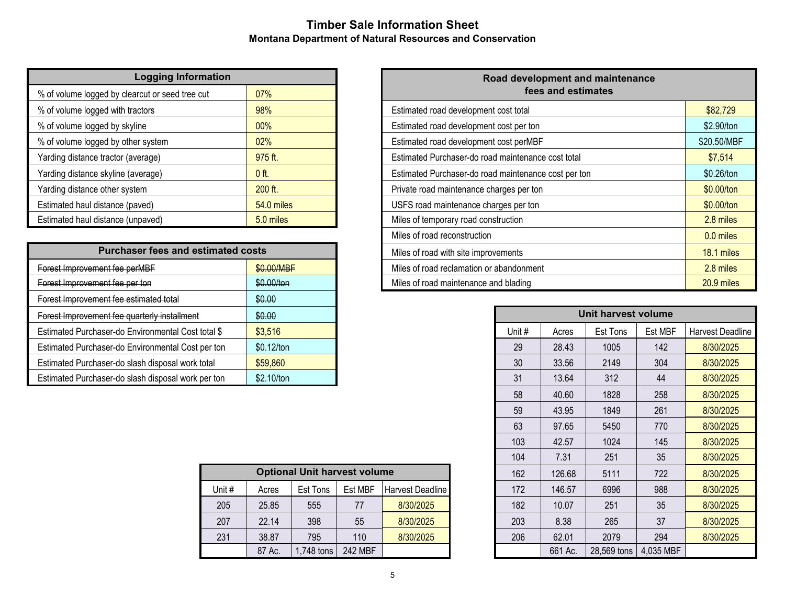# **Timber Sale Information Sheet Montana Department of Natural Resources and Conservation**

| <b>Logging Information</b>                      |            |  |  |  |  |  |  |  |
|-------------------------------------------------|------------|--|--|--|--|--|--|--|
| % of volume logged by clearcut or seed tree cut | 07%        |  |  |  |  |  |  |  |
| % of volume logged with tractors                | 98%        |  |  |  |  |  |  |  |
| % of volume logged by skyline                   | 00%        |  |  |  |  |  |  |  |
| % of volume logged by other system              | 02%        |  |  |  |  |  |  |  |
| Yarding distance tractor (average)              | 975 ft.    |  |  |  |  |  |  |  |
| Yarding distance skyline (average)              | $0$ ft.    |  |  |  |  |  |  |  |
| Yarding distance other system                   | $200$ ft.  |  |  |  |  |  |  |  |
| Estimated haul distance (paved)                 | 54.0 miles |  |  |  |  |  |  |  |
| Estimated haul distance (unpaved)               | 5.0 miles  |  |  |  |  |  |  |  |

| <b>Purchaser fees and estimated costs</b>          |            |  |  |  |  |  |  |
|----------------------------------------------------|------------|--|--|--|--|--|--|
| Forest Improvement fee perMBF                      | \$0.00/MBF |  |  |  |  |  |  |
| Forest Improvement fee per ton                     | \$0.00/ton |  |  |  |  |  |  |
| Forest Improvement fee estimated total             | \$0.00     |  |  |  |  |  |  |
| Forest Improvement fee quarterly installment       | \$0.00     |  |  |  |  |  |  |
| Estimated Purchaser-do Environmental Cost total \$ | \$3.516    |  |  |  |  |  |  |
| Estimated Purchaser-do Environmental Cost per ton  | \$0.12/ton |  |  |  |  |  |  |
| Estimated Purchaser-do slash disposal work total   | \$59,860   |  |  |  |  |  |  |
| Estimated Purchaser-do slash disposal work per ton | \$2.10/ton |  |  |  |  |  |  |

|        |        |                                     |         |                  | .   |         |             |           |
|--------|--------|-------------------------------------|---------|------------------|-----|---------|-------------|-----------|
|        |        | <b>Optional Unit harvest volume</b> |         |                  | 162 | 126.68  | 5111        | 722       |
| Unit # | Acres  | Est Tons                            | Est MBF | Harvest Deadline | 172 | 146.57  | 6996        | 988       |
| 205    | 25.85  | 555                                 |         | 8/30/2025        | 182 | 10.07   | 251         | 35        |
| 207    | 22.14  | 398                                 | 55      | 8/30/2025        | 203 | 8.38    | 265         | 37        |
| 231    | 38.87  | 795                                 | 110     | 8/30/2025        | 206 | 62.01   | 2079        | 294       |
|        | 87 Ac. | ,748 tons                           | 242 MBF |                  |     | 661 Ac. | 28,569 tons | 4,035 MBF |

| Road development and maintenance<br>fees and estimates |             |  |
|--------------------------------------------------------|-------------|--|
| Estimated road development cost total                  | \$82,729    |  |
| Estimated road development cost per ton                | \$2.90/ton  |  |
| Estimated road development cost perMBF                 | \$20.50/MBF |  |
| Estimated Purchaser-do road maintenance cost total     | \$7,514     |  |
| Estimated Purchaser-do road maintenance cost per ton   | \$0.26/ton  |  |
| Private road maintenance charges per ton               | \$0.00/ton  |  |
| USFS road maintenance charges per ton                  | \$0.00/ton  |  |
| Miles of temporary road construction                   | 2.8 miles   |  |
| Miles of road reconstruction                           | 0.0 miles   |  |
| Miles of road with site improvements                   | 18.1 miles  |  |
| Miles of road reclamation or abandonment               | 2.8 miles   |  |
| Miles of road maintenance and blading                  | 20.9 miles  |  |

|        | \$0.00     |                                     |         |                  |        |         | Unit harvest volume |           |                  |
|--------|------------|-------------------------------------|---------|------------------|--------|---------|---------------------|-----------|------------------|
| 1\$    | \$3,516    |                                     |         |                  | Unit # | Acres   | Est Tons            | Est MBF   | Harvest Deadline |
| ton    | \$0.12/ton |                                     |         |                  | 29     | 28.43   | 1005                | 142       | 8/30/2025        |
|        | \$59,860   |                                     |         |                  | 30     | 33.56   | 2149                | 304       | 8/30/2025        |
| ton    | \$2.10/ton |                                     |         |                  | 31     | 13.64   | 312                 | 44        | 8/30/2025        |
|        |            |                                     |         |                  | 58     | 40.60   | 1828                | 258       | 8/30/2025        |
|        |            |                                     |         |                  | 59     | 43.95   | 1849                | 261       | 8/30/2025        |
|        |            |                                     |         |                  | 63     | 97.65   | 5450                | 770       | 8/30/2025        |
|        |            |                                     |         |                  | 103    | 42.57   | 1024                | 145       | 8/30/2025        |
|        |            |                                     |         |                  | 104    | 7.31    | 251                 | 35        | 8/30/2025        |
|        |            | <b>Optional Unit harvest volume</b> |         |                  | 162    | 126.68  | 5111                | 722       | 8/30/2025        |
| Unit # | Acres      | Est Tons                            | Est MBF | Harvest Deadline | 172    | 146.57  | 6996                | 988       | 8/30/2025        |
| 205    | 25.85      | 555                                 | 77      | 8/30/2025        | 182    | 10.07   | 251                 | 35        | 8/30/2025        |
| 207    | 22.14      | 398                                 | 55      | 8/30/2025        | 203    | 8.38    | 265                 | 37        | 8/30/2025        |
| 231    | 38.87      | 795                                 | 110     | 8/30/2025        | 206    | 62.01   | 2079                | 294       | 8/30/2025        |
|        | 87 Ac.     | 1,748 tons                          | 242 MBF |                  |        | 661 Ac. | 28,569 tons         | 4,035 MBF |                  |